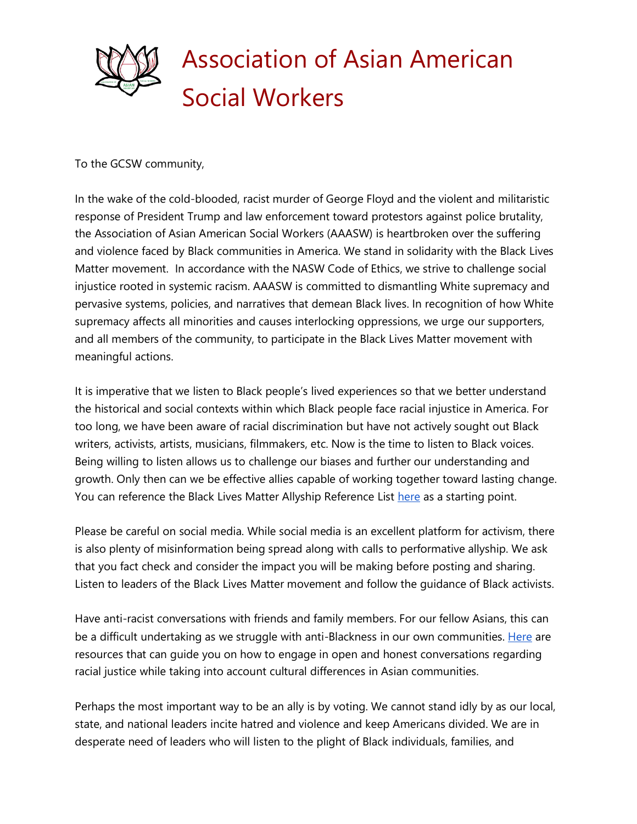

To the GCSW community,

In the wake of the cold-blooded, racist murder of George Floyd and the violent and militaristic response of President Trump and law enforcement toward protestors against police brutality, the Association of Asian American Social Workers (AAASW) is heartbroken over the suffering and violence faced by Black communities in America. We stand in solidarity with the Black Lives Matter movement. In accordance with the NASW Code of Ethics, we strive to challenge social injustice rooted in systemic racism. AAASW is committed to dismantling White supremacy and pervasive systems, policies, and narratives that demean Black lives. In recognition of how White supremacy affects all minorities and causes interlocking oppressions, we urge our supporters, and all members of the community, to participate in the Black Lives Matter movement with meaningful actions.

It is imperative that we listen to Black people's lived experiences so that we better understand the historical and social contexts within which Black people face racial injustice in America. For too long, we have been aware of racial discrimination but have not actively sought out Black writers, activists, artists, musicians, filmmakers, etc. Now is the time to listen to Black voices. Being willing to listen allows us to challenge our biases and further our understanding and growth. Only then can we be effective allies capable of working together toward lasting change. You can reference the Black Lives Matter Allyship Reference List [here](https://docs.google.com/document/d/1FOlrNav6ieD9e9FBdAa5n7WH1sJgBVR4twDHxboWaT8/edit) as a starting point.

Please be careful on social media. While social media is an excellent platform for activism, there is also plenty of misinformation being spread along with calls to performative allyship. We ask that you fact check and consider the impact you will be making before posting and sharing. Listen to leaders of the Black Lives Matter movement and follow the guidance of Black activists.

Have anti-racist conversations with friends and family members. For our fellow Asians, this can be a difficult undertaking as we struggle with anti-Blackness in our own communities. [Here](https://docs.google.com/document/d/1CKuK0eolaZcmKLi_-UVtdhgS-JgqaWQ8IuTo-zNzbc8/edit) are resources that can guide you on how to engage in open and honest conversations regarding racial justice while taking into account cultural differences in Asian communities.

Perhaps the most important way to be an ally is by voting. We cannot stand idly by as our local, state, and national leaders incite hatred and violence and keep Americans divided. We are in desperate need of leaders who will listen to the plight of Black individuals, families, and